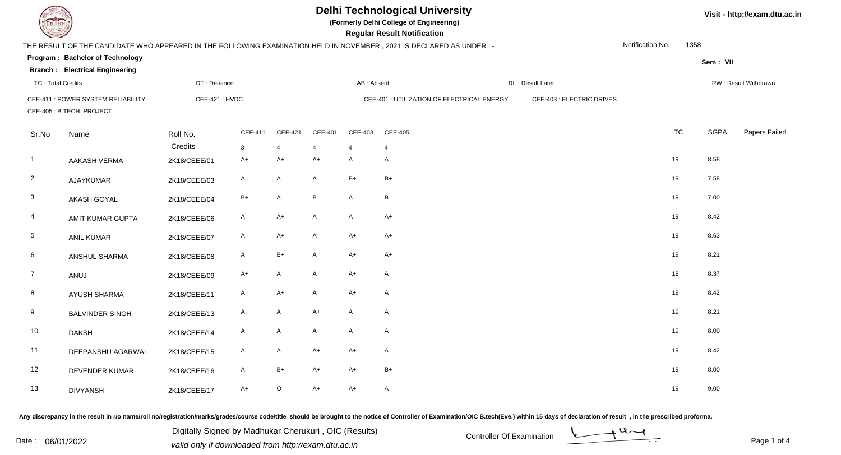**(Formerly Delhi College of Engineering)**

**Regular Regular Results Notification** 

**Visit - http://exam.dtu.ac.in**

| <b>County</b>            |                                                                 |               |              |                |                |                | <b>Regular Result Notification</b>                                                                                  |                           |                  |           |             |                      |
|--------------------------|-----------------------------------------------------------------|---------------|--------------|----------------|----------------|----------------|---------------------------------------------------------------------------------------------------------------------|---------------------------|------------------|-----------|-------------|----------------------|
|                          |                                                                 |               |              |                |                |                | THE RESULT OF THE CANDIDATE WHO APPEARED IN THE FOLLOWING EXAMINATION HELD IN NOVEMBER, 2021 IS DECLARED AS UNDER:- |                           | Notification No. | 1358      |             |                      |
|                          | Program: Bachelor of Technology                                 |               |              |                |                |                |                                                                                                                     |                           |                  |           | Sem: VII    |                      |
|                          | <b>Branch: Electrical Engineering</b>                           |               |              |                |                |                |                                                                                                                     |                           |                  |           |             |                      |
| <b>TC: Total Credits</b> |                                                                 | DT: Detained  |              |                |                | AB: Absent     |                                                                                                                     | RL: Result Later          |                  |           |             | RW: Result Withdrawn |
|                          | CEE-411 : POWER SYSTEM RELIABILITY<br>CEE-405 : B.TECH. PROJECT | CEE-421: HVDC |              |                |                |                | CEE-401 : UTILIZATION OF ELECTRICAL ENERGY                                                                          | CEE-403 : ELECTRIC DRIVES |                  |           |             |                      |
|                          |                                                                 |               |              |                |                |                |                                                                                                                     |                           |                  |           |             |                      |
| Sr.No                    | Name                                                            | Roll No.      | CEE-411      | CEE-421        | <b>CEE-401</b> | CEE-403        | CEE-405                                                                                                             |                           |                  | <b>TC</b> | <b>SGPA</b> | Papers Failed        |
|                          |                                                                 | Credits       | 3            | $\overline{4}$ | $\overline{4}$ | $\overline{4}$ | $\overline{4}$                                                                                                      |                           |                  |           |             |                      |
| $\overline{1}$           | <b>AAKASH VERMA</b>                                             | 2K18/CEEE/01  | $A+$         | A+             | $A+$           | A              | $\mathsf{A}$                                                                                                        |                           |                  | 19        | 8.58        |                      |
| $\overline{2}$           | AJAYKUMAR                                                       | 2K18/CEEE/03  | A            | A              | A              | $B+$           | $B+$                                                                                                                |                           |                  | 19        | 7.58        |                      |
| 3                        | AKASH GOYAL                                                     | 2K18/CEEE/04  | $B+$         | A              | B              | $\mathsf{A}$   | B                                                                                                                   |                           |                  | 19        | 7.00        |                      |
| 4                        | AMIT KUMAR GUPTA                                                | 2K18/CEEE/06  | A            | A+             | A              | A              | $A+$                                                                                                                |                           |                  | 19        | 8.42        |                      |
| $5\phantom{.0}$          | <b>ANIL KUMAR</b>                                               | 2K18/CEEE/07  | A            | A+             | A              | $A+$           | $A+$                                                                                                                |                           |                  | 19        | 8.63        |                      |
| 6                        | ANSHUL SHARMA                                                   | 2K18/CEEE/08  | A            | B+             | A              | A+             | $A+$                                                                                                                |                           |                  | 19        | 8.21        |                      |
| $\overline{7}$           | ANUJ                                                            | 2K18/CEEE/09  | $A+$         | A              | A              | $A+$           | $\mathsf{A}$                                                                                                        |                           |                  | 19        | 8.37        |                      |
| 8                        | <b>AYUSH SHARMA</b>                                             | 2K18/CEEE/11  | $\mathsf{A}$ | $A+$           | A              | $A+$           | $\mathsf{A}$                                                                                                        |                           |                  | 19        | 8.42        |                      |
| 9                        | <b>BALVINDER SINGH</b>                                          | 2K18/CEEE/13  | $\mathsf{A}$ | A              | $A+$           | $\mathsf{A}$   | $\mathsf{A}$                                                                                                        |                           |                  | 19        | 8.21        |                      |
| 10                       | <b>DAKSH</b>                                                    | 2K18/CEEE/14  | $\mathsf{A}$ | A              | A              | $\mathsf{A}$   | $\mathsf{A}$                                                                                                        |                           |                  | 19        | 8.00        |                      |
| 11                       | DEEPANSHU AGARWAL                                               | 2K18/CEEE/15  | A            | A              | $A+$           | $A+$           | $\mathsf{A}$                                                                                                        |                           |                  | 19        | 8.42        |                      |
| 12                       | DEVENDER KUMAR                                                  | 2K18/CEEE/16  | A            | B+             | $A+$           | A+             | $B+$                                                                                                                |                           |                  | 19        | 8.00        |                      |
| 13                       | <b>DIVYANSH</b>                                                 | 2K18/CEEE/17  | $A+$         | $\circ$        | $A+$           | $A+$           | $\mathsf{A}$                                                                                                        |                           |                  | 19        | 9.00        |                      |

Any discrepancy in the result in r/o name/roll no/registration/marks/grades/course code/title should be brought to the notice of Controller of Examination/OIC B.tech(Eve.) within 15 days of declaration of result, in the pr

Digitally Signed by Madhukar Cherukuri, OIC (Results)<br>Date : 06/01/2022 valid only if downloaded from http://oxam.dtu.ac.in Digitally Signed by Madhukar Cherukuri , OIC (Results)valid only if downloaded from http://exam.dtu.ac.in

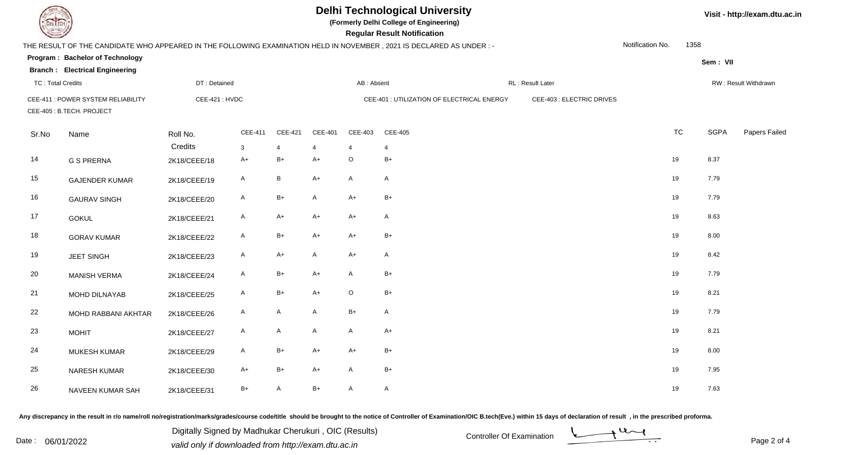**(Formerly Delhi College of Engineering)**

**Regular Regular Results** 

| <b>Courses I</b>         |                                       |               |              |                 |                |              | <b>Regular Result Notification</b>                                                                                   |                           |                  |           |             |                      |
|--------------------------|---------------------------------------|---------------|--------------|-----------------|----------------|--------------|----------------------------------------------------------------------------------------------------------------------|---------------------------|------------------|-----------|-------------|----------------------|
|                          |                                       |               |              |                 |                |              | THE RESULT OF THE CANDIDATE WHO APPEARED IN THE FOLLOWING EXAMINATION HELD IN NOVEMBER, 2021 IS DECLARED AS UNDER :- |                           | Notification No. | 1358      |             |                      |
|                          | Program: Bachelor of Technology       |               |              |                 |                |              |                                                                                                                      |                           |                  |           | Sem: VII    |                      |
|                          | <b>Branch: Electrical Engineering</b> |               |              |                 |                |              |                                                                                                                      |                           |                  |           |             |                      |
| <b>TC: Total Credits</b> |                                       | DT: Detained  |              |                 |                | AB: Absent   |                                                                                                                      | RL: Result Later          |                  |           |             | RW: Result Withdrawn |
|                          | CEE-411 : POWER SYSTEM RELIABILITY    | CEE-421: HVDC |              |                 |                |              | CEE-401 : UTILIZATION OF ELECTRICAL ENERGY                                                                           | CEE-403 : ELECTRIC DRIVES |                  |           |             |                      |
|                          | CEE-405 : B.TECH. PROJECT             |               |              |                 |                |              |                                                                                                                      |                           |                  |           |             |                      |
| Sr.No                    | Name                                  | Roll No.      | CEE-411      | CEE-421         | <b>CEE-401</b> | CEE-403      | <b>CEE-405</b>                                                                                                       |                           |                  | <b>TC</b> | <b>SGPA</b> | Papers Failed        |
|                          |                                       | Credits       | $\mathbf{3}$ | $\overline{4}$  | $\overline{4}$ | 4            | 4                                                                                                                    |                           |                  |           |             |                      |
| 14                       | <b>G S PRERNA</b>                     | 2K18/CEEE/18  | $A+$         | $B+$            | $A+$           | $\circ$      | $B+$                                                                                                                 |                           | 19               |           | 8.37        |                      |
| 15                       | <b>GAJENDER KUMAR</b>                 | 2K18/CEEE/19  | A            | $\, {\bf B} \,$ | $A+$           | A            | $\mathsf{A}$                                                                                                         |                           | 19               |           | 7.79        |                      |
| 16                       | <b>GAURAV SINGH</b>                   | 2K18/CEEE/20  | A            | $B+$            | $\mathsf{A}$   | $A+$         | $B+$                                                                                                                 |                           | 19               |           | 7.79        |                      |
| 17                       | <b>GOKUL</b>                          | 2K18/CEEE/21  | A            | A+              | $A+$           | A+           | $\mathsf{A}$                                                                                                         |                           | 19               |           | 8.63        |                      |
| 18                       | <b>GORAV KUMAR</b>                    | 2K18/CEEE/22  | A            | $B+$            | $A+$           | $A+$         | $B+$                                                                                                                 |                           | 19               |           | 8.00        |                      |
| 19                       | <b>JEET SINGH</b>                     | 2K18/CEEE/23  | $\mathsf{A}$ | $A+$            | A              | $A+$         | $\mathsf{A}$                                                                                                         |                           | 19               |           | 8.42        |                      |
| 20                       | MANISH VERMA                          | 2K18/CEEE/24  | $\mathsf{A}$ | $B+$            | $A+$           | $\mathsf{A}$ | $B+$                                                                                                                 |                           | 19               |           | 7.79        |                      |
| 21                       | MOHD DILNAYAB                         | 2K18/CEEE/25  | $\mathsf{A}$ | $B+$            | $A+$           | $\circ$      | $B+$                                                                                                                 |                           | 19               |           | 8.21        |                      |
| 22                       | MOHD RABBANI AKHTAR                   | 2K18/CEEE/26  | $\mathsf{A}$ | A               | A              | $B+$         | $\mathsf{A}$                                                                                                         |                           | 19               |           | 7.79        |                      |
| 23                       | <b>MOHIT</b>                          | 2K18/CEEE/27  | $\mathsf{A}$ | A               | A              | $\mathsf{A}$ | $A+$                                                                                                                 |                           | 19               |           | 8.21        |                      |
| 24                       | <b>MUKESH KUMAR</b>                   | 2K18/CEEE/29  | A            | $B+$            | $A+$           | $A+$         | $B+$                                                                                                                 |                           | 19               |           | 8.00        |                      |
| 25                       | <b>NARESH KUMAR</b>                   | 2K18/CEEE/30  | A+           | $B+$            | $A+$           | A            | $B+$                                                                                                                 |                           | 19               |           | 7.95        |                      |
| 26                       | NAVEEN KUMAR SAH                      | 2K18/CEEE/31  | $B+$         | A               | $B+$           | A            | A                                                                                                                    |                           | 19               |           | 7.63        |                      |

Any discrepancy in the result in r/o name/roll no/registration/marks/grades/course code/title should be brought to the notice of Controller of Examination/OIC B.tech(Eve.) within 15 days of declaration of result, in the pr

Date : 06/01/2022<br>valid only if downloaded from http://exam.dtu.ac.in<br>Page 2 of Digitally Signed by Madhukar Cherukuri , OIC (Results)

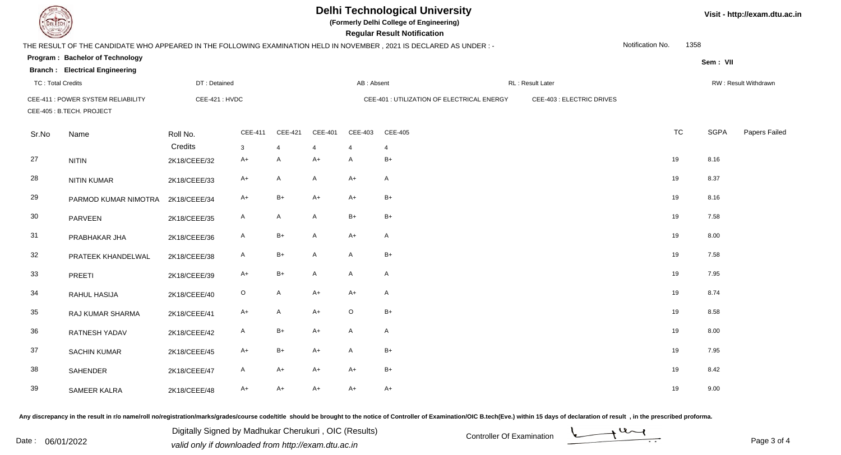**(Formerly Delhi College of Engineering)**

**Regular Regular Results Notification** 

| <b>Courses I</b>         |                                                                 |               |              |                |                |                | <b>Regular Result Notification</b>                                                                                   |                           |                  |           |             |                      |
|--------------------------|-----------------------------------------------------------------|---------------|--------------|----------------|----------------|----------------|----------------------------------------------------------------------------------------------------------------------|---------------------------|------------------|-----------|-------------|----------------------|
|                          |                                                                 |               |              |                |                |                | THE RESULT OF THE CANDIDATE WHO APPEARED IN THE FOLLOWING EXAMINATION HELD IN NOVEMBER, 2021 IS DECLARED AS UNDER :- |                           | Notification No. | 1358      |             |                      |
|                          | Program: Bachelor of Technology                                 |               |              |                |                |                |                                                                                                                      |                           |                  |           | Sem: VII    |                      |
|                          | <b>Branch: Electrical Engineering</b>                           |               |              |                |                |                |                                                                                                                      |                           |                  |           |             |                      |
| <b>TC: Total Credits</b> |                                                                 | DT: Detained  |              |                |                | AB: Absent     |                                                                                                                      | RL: Result Later          |                  |           |             | RW: Result Withdrawn |
|                          | CEE-411 : POWER SYSTEM RELIABILITY<br>CEE-405 : B.TECH. PROJECT | CEE-421: HVDC |              |                |                |                | CEE-401 : UTILIZATION OF ELECTRICAL ENERGY                                                                           | CEE-403 : ELECTRIC DRIVES |                  |           |             |                      |
| Sr.No                    | Name                                                            | Roll No.      | CEE-411      | CEE-421        | <b>CEE-401</b> | CEE-403        | <b>CEE-405</b>                                                                                                       |                           |                  | <b>TC</b> | <b>SGPA</b> | Papers Failed        |
|                          |                                                                 | Credits       | $\mathbf{3}$ | $\overline{4}$ | $\overline{4}$ | $\overline{4}$ | $\overline{4}$                                                                                                       |                           |                  |           |             |                      |
| 27                       | <b>NITIN</b>                                                    | 2K18/CEEE/32  | $A+$         | A              | $A+$           | $\mathsf{A}$   | $B+$                                                                                                                 |                           | 19               |           | 8.16        |                      |
| 28                       | <b>NITIN KUMAR</b>                                              | 2K18/CEEE/33  | A+           | A              | $\mathsf{A}$   | $A+$           | A                                                                                                                    |                           | 19               |           | 8.37        |                      |
| 29                       | PARMOD KUMAR NIMOTRA                                            | 2K18/CEEE/34  | $A+$         | $B+$           | $A+$           | $A+$           | $B+$                                                                                                                 |                           | 19               |           | 8.16        |                      |
| 30                       | PARVEEN                                                         | 2K18/CEEE/35  | $\mathsf{A}$ | A              | A              | $B+$           | $B+$                                                                                                                 |                           | 19               |           | 7.58        |                      |
| 31                       | PRABHAKAR JHA                                                   | 2K18/CEEE/36  | A            | $B+$           | A              | $A+$           | $\mathsf{A}$                                                                                                         |                           | 19               |           | 8.00        |                      |
| 32                       | PRATEEK KHANDELWAL                                              | 2K18/CEEE/38  | A            | $B+$           | A              | $\mathsf{A}$   | $B+$                                                                                                                 |                           | 19               |           | 7.58        |                      |
| 33                       | PREETI                                                          | 2K18/CEEE/39  | $A+$         | $B+$           | A              | $\mathsf{A}$   | $\mathsf{A}$                                                                                                         |                           | 19               |           | 7.95        |                      |
| 34                       | RAHUL HASIJA                                                    | 2K18/CEEE/40  | $\circ$      | $\mathsf{A}$   | $A+$           | $A+$           | $\mathsf{A}$                                                                                                         |                           | 19               |           | 8.74        |                      |
| 35                       | RAJ KUMAR SHARMA                                                | 2K18/CEEE/41  | $A+$         | A              | $A+$           | $\circ$        | $B+$                                                                                                                 |                           | 19               |           | 8.58        |                      |
| 36                       | RATNESH YADAV                                                   | 2K18/CEEE/42  | $\mathsf{A}$ | $B+$           | $A+$           | $\mathsf{A}$   | $\mathsf{A}$                                                                                                         |                           | 19               |           | 8.00        |                      |
| 37                       | <b>SACHIN KUMAR</b>                                             | 2K18/CEEE/45  | $A+$         | $B+$           | $A+$           | $\mathsf{A}$   | $B+$                                                                                                                 |                           | 19               |           | 7.95        |                      |
| 38                       | SAHENDER                                                        | 2K18/CEEE/47  | $\mathsf{A}$ | A+             | $A+$           | $A+$           | $B+$                                                                                                                 |                           | 19               |           | 8.42        |                      |
| 39                       | SAMEER KALRA                                                    | 2K18/CEEE/48  | $A+$         | $A+$           | $A+$           | $A+$           | $A+$                                                                                                                 |                           | 19               |           | 9.00        |                      |

Any discrepancy in the result in r/o name/roll no/registration/marks/grades/course code/title should be brought to the notice of Controller of Examination/OIC B.tech(Eve.) within 15 days of declaration of result, in the pr

Digitally Signed by Madhukar Cherukuri, OIC (Results)<br>Date : 06/01/2022 valid only if downloaded from http://oxam.dtu.ac.in Digitally Signed by Madhukar Cherukuri , OIC (Results)valid only if downloaded from http://exam.dtu.ac.in